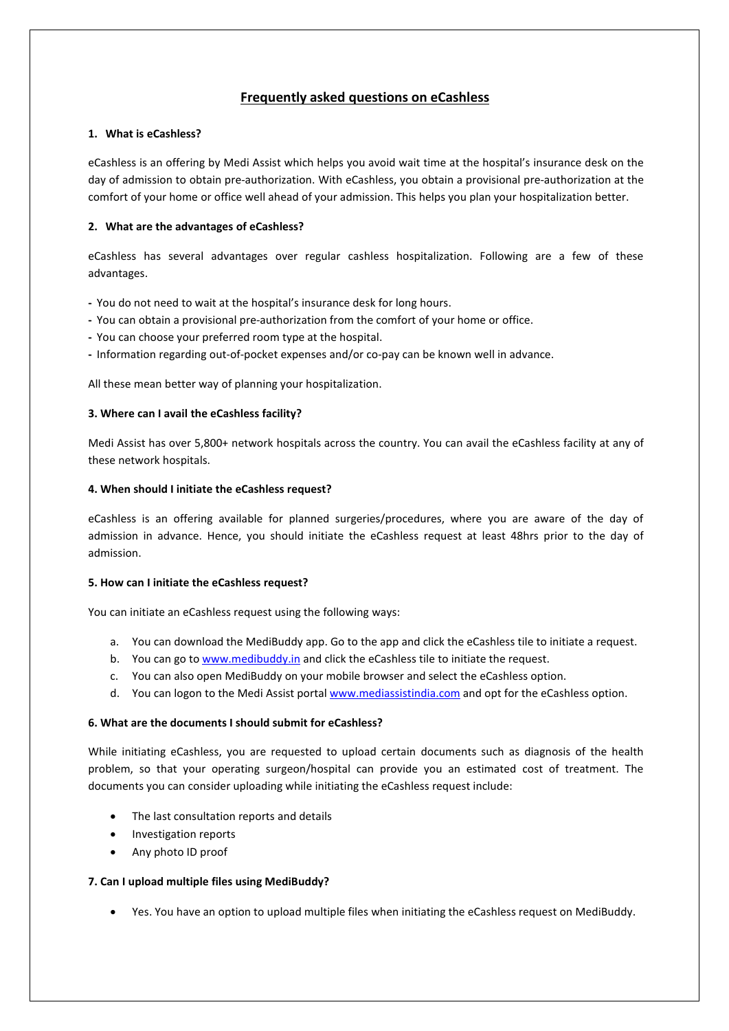# **Frequently asked questions on eCashless**

## **1. What is eCashless?**

eCashless is an offering by Medi Assist which helps you avoid wait time at the hospital's insurance desk on the day of admission to obtain pre-authorization. With eCashless, you obtain a provisional pre-authorization at the comfort of your home or office well ahead of your admission. This helps you plan your hospitalization better.

## **2. What are the advantages of eCashless?**

eCashless has several advantages over regular cashless hospitalization. Following are a few of these advantages.

- **-** You do not need to wait at the hospital's insurance desk for long hours.
- You can obtain a provisional pre-authorization from the comfort of your home or office.
- **-** You can choose your preferred room type at the hospital.
- **-** Information regarding out-of-pocket expenses and/or co-pay can be known well in advance.

All these mean better way of planning your hospitalization.

## **3. Where can I avail the eCashless facility?**

Medi Assist has over 5,800+ network hospitals across the country. You can avail the eCashless facility at any of these network hospitals.

## **4. When should I initiate the eCashless request?**

eCashless is an offering available for planned surgeries/procedures, where you are aware of the day of admission in advance. Hence, you should initiate the eCashless request at least 48hrs prior to the day of admission.

## **5. How can I initiate the eCashless request?**

You can initiate an eCashless request using the following ways:

- a. You can download the MediBuddy app. Go to the app and click the eCashless tile to initiate a request.
- b. You can go to [www.medibuddy.in](http://www.medibuddy.in/) and click the eCashless tile to initiate the request.
- c. You can also open MediBuddy on your mobile browser and select the eCashless option.
- d. You can logon to the Medi Assist portal [www.mediassistindia.com](http://www.mediassistindia.com/) and opt for the eCashless option.

## **6. What are the documents I should submit for eCashless?**

While initiating eCashless, you are requested to upload certain documents such as diagnosis of the health problem, so that your operating surgeon/hospital can provide you an estimated cost of treatment. The documents you can consider uploading while initiating the eCashless request include:

- The last consultation reports and details
- Investigation reports
- Any photo ID proof

## **7. Can I upload multiple files using MediBuddy?**

Yes. You have an option to upload multiple files when initiating the eCashless request on MediBuddy.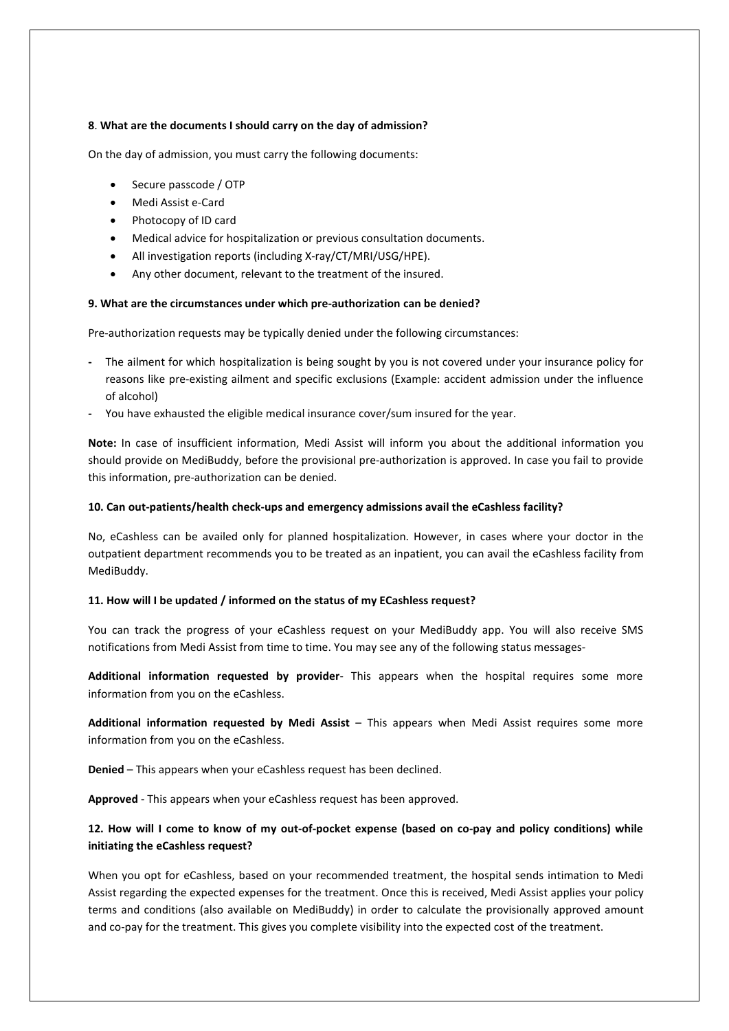## **8**. **What are the documents I should carry on the day of admission?**

On the day of admission, you must carry the following documents:

- Secure passcode / OTP
- Medi Assist e-Card
- Photocopy of ID card
- Medical advice for hospitalization or previous consultation documents.
- All investigation reports (including X-ray/CT/MRI/USG/HPE).
- Any other document, relevant to the treatment of the insured.

#### **9. What are the circumstances under which pre-authorization can be denied?**

Pre-authorization requests may be typically denied under the following circumstances:

- **-** The ailment for which hospitalization is being sought by you is not covered under your insurance policy for reasons like pre-existing ailment and specific exclusions (Example: accident admission under the influence of alcohol)
- **-** You have exhausted the eligible medical insurance cover/sum insured for the year.

**Note:** In case of insufficient information, Medi Assist will inform you about the additional information you should provide on MediBuddy, before the provisional pre-authorization is approved. In case you fail to provide this information, pre-authorization can be denied.

#### **10. Can out-patients/health check-ups and emergency admissions avail the eCashless facility?**

No, eCashless can be availed only for planned hospitalization. However, in cases where your doctor in the outpatient department recommends you to be treated as an inpatient, you can avail the eCashless facility from MediBuddy.

## **11. How will I be updated / informed on the status of my ECashless request?**

You can track the progress of your eCashless request on your MediBuddy app. You will also receive SMS notifications from Medi Assist from time to time. You may see any of the following status messages-

**Additional information requested by provider**- This appears when the hospital requires some more information from you on the eCashless.

**Additional information requested by Medi Assist** – Thisappears when Medi Assist requires some more information from you on the eCashless.

**Denied** –This appears when your eCashless request has been declined.

**Approved** - This appears when your eCashless request has been approved.

## 12. How will I come to know of my out-of-pocket expense (based on co-pay and policy conditions) while **initiating the eCashless request?**

When you opt for eCashless, based on your recommended treatment, the hospital sends intimation to Medi Assist regarding the expected expenses for the treatment.Once this is received, Medi Assist applies your policy terms and conditions (also available on MediBuddy) in order to calculate the provisionally approved amount and co-pay for the treatment. This gives you complete visibility into the expected cost of the treatment.